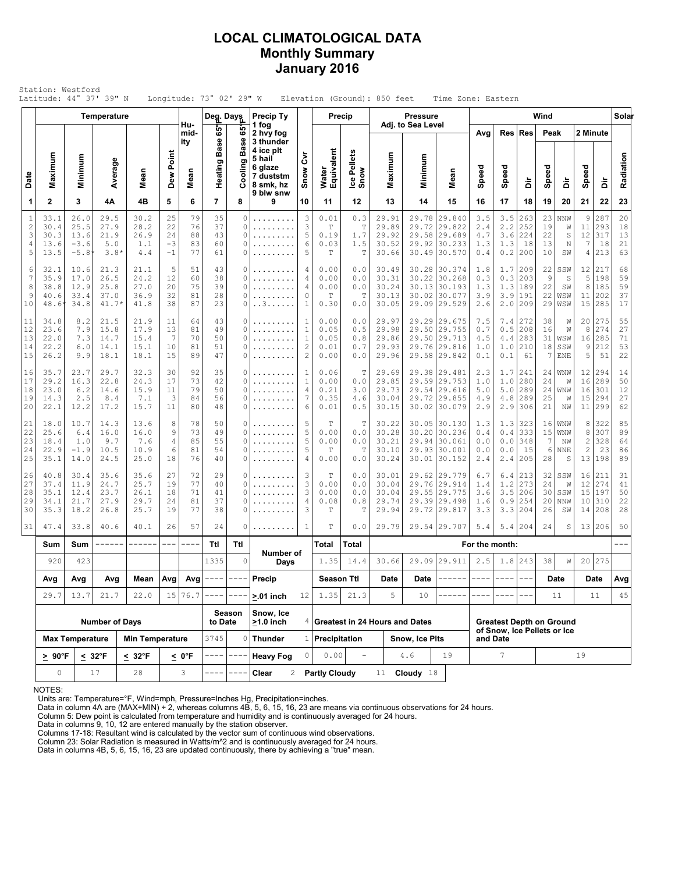# **LOCAL CLIMATOLOGICAL DATA Monthly Summary January 2016**

| Station: Westford<br>Latitude: 44° 37' 39" N<br>Longitude: 73° 02' 29" W<br>Elevation (Ground): 850 feet<br>Time Zone: Eastern<br>Wind<br>Precip Ty<br>Precip<br><b>Pressure</b><br><b>Temperature</b><br>Deg. Days<br>Hu-<br>Adj. to Sea Level<br>1 fog |                                      |                                          |                                         |                                      |                                        |                                    |                            |                                                                                                                                                                                                                                                                                                                                                                                              |                                                                       |                                                                |                                          |                                         |                                           |                                  |                                                                                                                                                                                                                                                                                                                                                                                                                                                                                            |                                 |                                 |                                                                |                            |                                     |                                                |                                    |                            |
|----------------------------------------------------------------------------------------------------------------------------------------------------------------------------------------------------------------------------------------------------------|--------------------------------------|------------------------------------------|-----------------------------------------|--------------------------------------|----------------------------------------|------------------------------------|----------------------------|----------------------------------------------------------------------------------------------------------------------------------------------------------------------------------------------------------------------------------------------------------------------------------------------------------------------------------------------------------------------------------------------|-----------------------------------------------------------------------|----------------------------------------------------------------|------------------------------------------|-----------------------------------------|-------------------------------------------|----------------------------------|--------------------------------------------------------------------------------------------------------------------------------------------------------------------------------------------------------------------------------------------------------------------------------------------------------------------------------------------------------------------------------------------------------------------------------------------------------------------------------------------|---------------------------------|---------------------------------|----------------------------------------------------------------|----------------------------|-------------------------------------|------------------------------------------------|------------------------------------|----------------------------|
|                                                                                                                                                                                                                                                          |                                      |                                          |                                         |                                      |                                        |                                    |                            |                                                                                                                                                                                                                                                                                                                                                                                              |                                                                       |                                                                |                                          |                                         |                                           |                                  |                                                                                                                                                                                                                                                                                                                                                                                                                                                                                            |                                 |                                 |                                                                |                            |                                     |                                                |                                    | Solar                      |
|                                                                                                                                                                                                                                                          |                                      |                                          |                                         |                                      |                                        | mid-<br>ity                        | 65°                        | မ္မ                                                                                                                                                                                                                                                                                                                                                                                          | 2 hvy fog<br>3 thunder                                                |                                                                |                                          |                                         |                                           |                                  |                                                                                                                                                                                                                                                                                                                                                                                                                                                                                            | Avg                             | Res                             | <b>Res</b>                                                     | Peak                       |                                     | 2 Minute                                       |                                    |                            |
| Date                                                                                                                                                                                                                                                     | Maximum                              | Minimum                                  | Average                                 | Mean                                 | Dew Point                              | Mean                               | Base<br>Heating            | <b>Base</b><br>Ō)<br>ă                                                                                                                                                                                                                                                                                                                                                                       | 4 ice plt<br>5 hail<br>6 glaze<br>7 duststm<br>8 smk, hz<br>9 blw snw | ξ<br>Snow                                                      | Water<br>Equivalent                      | Ice Pellets<br>Snow                     | Maximum                                   | Minimum                          | Mean                                                                                                                                                                                                                                                                                                                                                                                                                                                                                       | Speed                           | Speed                           | à                                                              | Speed                      | à                                   | Speed                                          | à                                  | Radiation                  |
| 1                                                                                                                                                                                                                                                        | $\mathbf{2}$                         | 3                                        | 4Α                                      | 4B                                   | 5                                      | 6                                  | $\overline{7}$             | 8                                                                                                                                                                                                                                                                                                                                                                                            | 9                                                                     | 10                                                             | 11                                       | 12                                      | 13                                        | 14                               | 15                                                                                                                                                                                                                                                                                                                                                                                                                                                                                         | 16                              | 17                              | 18                                                             | 19                         | 20                                  | 21                                             | 22                                 | 23                         |
| $\mathbf{1}$<br>$\sqrt{2}$<br>3<br>4<br>5                                                                                                                                                                                                                | 33.1<br>30.4<br>30.3<br>13.6<br>13.5 | 26.0<br>25.5<br>13.6<br>$-3.6$<br>$-5.8$ | 29.5<br>27.9<br>21.9<br>5.0<br>$3.8*$   | 30.2<br>28.2<br>26.9<br>1.1<br>4.4   | 25<br>22<br>24<br>$-3$<br>$-1$         | 79<br>76<br>88<br>83<br>77         | 35<br>37<br>43<br>60<br>61 | 0<br>0<br>0<br>0<br>0                                                                                                                                                                                                                                                                                                                                                                        | .<br>.                                                                | 3<br>3<br>5<br>6<br>5                                          | 0.01<br>$\mathbb T$<br>0.19<br>0.03<br>T | 0.3<br>$\mathbb T$<br>1.7<br>1.5<br>T   | 29.91<br>29.89<br>29.92<br>30.52<br>30.66 | 29.72                            | 29.78 29.840<br>29.822<br>29.58 29.689<br>29.92 30.233<br>30.49 30.570                                                                                                                                                                                                                                                                                                                                                                                                                     | 3.5<br>2.4<br>4.7<br>1.3<br>0.4 | 3.5<br>2.2<br>3.6<br>1.3<br>0.2 | 263<br>252<br>224<br>18<br>200                                 | 23<br>19<br>22<br>13<br>10 | NNW<br>W<br>S<br>$\mathbb N$<br>SW  | 9<br>11<br>12<br>7<br>4                        | 287<br>293<br>317<br>18<br>213     | 20<br>18<br>13<br>21<br>63 |
| 6<br>$\overline{7}$<br>8<br>9<br>10                                                                                                                                                                                                                      | 32.1<br>35.9<br>38.8<br>40.6<br>48.6 | 10.6<br>17.0<br>12.9<br>33.4<br>34.8     | 21.3<br>26.5<br>25.8<br>37.0<br>$41.7*$ | 21.1<br>24.2<br>27.0<br>36.9<br>41.8 | 5<br>12<br>20<br>32<br>38              | 51<br>60<br>75<br>81<br>87         | 43<br>38<br>39<br>28<br>23 | 0<br>0<br>0<br>0<br>0                                                                                                                                                                                                                                                                                                                                                                        | .<br>.<br>.<br>. . 3                                                  | 4<br>4<br>4<br>0<br>$\mathbf{1}$                               | 0.00<br>0.00<br>0.00<br>T<br>0.30        | 0.0<br>0.0<br>0.0<br>$\mathbb T$<br>0.0 | 30.49<br>30.31<br>30.24<br>30.13<br>30.05 | 30.22                            | 30.28 30.374<br>30.268<br>30.13 30.193<br>30.02 30.077<br>29.09 29.529                                                                                                                                                                                                                                                                                                                                                                                                                     | 1.8<br>0.3<br>1.3<br>3.9<br>2.6 | 1.7<br>0.3<br>1.3<br>3.9<br>2.0 | 209<br>203<br>189<br>191<br>209                                | 22<br>9<br>22<br>22<br>29  | SSW<br>S<br>SW<br>WSW<br>WSW        | 12<br>5<br>8<br>11<br>15                       | 217<br>198<br>185<br>202<br>285    | 68<br>59<br>59<br>37<br>17 |
| 11<br>12<br>13<br>14<br>15                                                                                                                                                                                                                               | 34.8<br>23.6<br>22.0<br>22.2<br>26.2 | 8.2<br>7.9<br>7.3<br>6.0<br>9.9          | 21.5<br>15.8<br>14.7<br>14.1<br>18.1    | 21.9<br>17.9<br>15.4<br>15.1<br>18.1 | 11<br>13<br>7<br>10<br>15              | 64<br>81<br>70<br>81<br>89         | 43<br>49<br>50<br>51<br>47 | 0<br>0<br>0<br>0<br>0                                                                                                                                                                                                                                                                                                                                                                        | .<br>.<br>.<br>.                                                      | 1<br>$1\,$<br>$\mathbf{1}$<br>$\overline{c}$<br>$\overline{c}$ | 0.00<br>0.05<br>0.05<br>0.01<br>0.00     | 0.0<br>0.5<br>0.8<br>0.7<br>0.0         | 29.97<br>29.98<br>29.86<br>29.93<br>29.96 |                                  | 29.29 29.675<br>29.50 29.755<br>29.50 29.713<br>29.76 29.816<br>29.58 29.842                                                                                                                                                                                                                                                                                                                                                                                                               | 7.5<br>0.7<br>4.5<br>1.0<br>0.1 | 7.4<br>0.5<br>4.4<br>1.0<br>0.1 | 272<br>208<br>283<br>210<br>61                                 | 38<br>16<br>31<br>18<br>7  | W<br>W<br>WSW<br>SSW<br><b>ENE</b>  | 20 <sup>1</sup><br>8<br>16<br>9<br>5           | 275<br>274<br>285<br>212<br>51     | 55<br>27<br>71<br>53<br>22 |
| 16<br>17<br>18<br>19<br>20                                                                                                                                                                                                                               | 35.7<br>29.2<br>23.0<br>14.3<br>22.1 | 23.7<br>16.3<br>6.2<br>2.5<br>12.2       | 29.7<br>22.8<br>14.6<br>8.4<br>17.2     | 32.3<br>24.3<br>15.9<br>7.1<br>15.7  | 30<br>17<br>11<br>$\overline{3}$<br>11 | 92<br>73<br>79<br>84<br>80         | 35<br>42<br>50<br>56<br>48 | 0<br>0<br>0<br>0<br>0                                                                                                                                                                                                                                                                                                                                                                        | .<br>.<br>.<br>.                                                      | 1<br>$\mathbf{1}$<br>$\overline{4}$<br>7<br>6                  | 0.06<br>0.00<br>0.21<br>0.35<br>0.01     | Т<br>0.0<br>3.0<br>4.6<br>0.5           | 29.69<br>29.85<br>29.73<br>30.04<br>30.15 | 29.72                            | 29.38 29.481<br>29.59 29.753<br>29.54 29.616<br>29.855<br>30.02 30.079                                                                                                                                                                                                                                                                                                                                                                                                                     | 2.3<br>1.0<br>5.0<br>4.9<br>2.9 | 1.7<br>1.0<br>5.0<br>4.8<br>2.9 | 241<br>280<br>289<br>289<br>306                                | 24<br>24<br>24<br>25<br>21 | WNW<br>W<br>WNW<br>W<br>NW          | 12<br>16<br>16<br>15                           | 294<br>289<br>301<br>294<br>11 299 | 14<br>50<br>12<br>27<br>62 |
| 21<br>22<br>23<br>24<br>25                                                                                                                                                                                                                               | 18.0<br>25.6<br>18.4<br>22.9<br>35.1 | 10.7<br>6.4<br>1.0<br>$-1.9$<br>14.0     | 14.3<br>16.0<br>9.7<br>10.5<br>24.5     | 13.6<br>16.0<br>7.6<br>10.9<br>25.0  | 8<br>9<br>4<br>6<br>18                 | 78<br>73<br>85<br>81<br>76         | 50<br>49<br>55<br>54<br>40 | 0<br>0<br>0<br>0<br>0                                                                                                                                                                                                                                                                                                                                                                        | .<br>.<br>.                                                           | 5<br>5<br>5<br>5<br>4                                          | Т<br>0.00<br>0.00<br>Т<br>0.00           | Т<br>0.0<br>0.0<br>$\mathbb T$<br>0.0   | 30.22<br>30.28<br>30.21<br>30.10<br>30.24 |                                  | 30.05 30.130<br>30.20 30.236<br>29.94 30.061<br>29.93 30.001<br>30.01 30.152                                                                                                                                                                                                                                                                                                                                                                                                               | 1.3<br>0.4<br>0.0<br>0.0<br>2.4 | 1.3<br>0.4<br>0.0<br>0.0<br>2.4 | 323<br>333<br>348<br>15<br>205                                 | 16<br>15<br>7<br>6<br>28   | WNW<br>WNW<br>ΝW<br><b>NNE</b><br>S | 8<br>8<br>$\mathbf{2}$<br>$\overline{c}$<br>13 | 322<br>307<br>328<br>23<br>198     | 85<br>89<br>64<br>86<br>89 |
| 26<br>27<br>28<br>29<br>30                                                                                                                                                                                                                               | 40.8<br>37.4<br>35.1<br>34.1<br>35.3 | 30.4<br>11.9<br>12.4<br>21.7<br>18.2     | 35.6<br>24.7<br>23.7<br>27.9<br>26.8    | 35.6<br>25.7<br>26.1<br>29.7<br>25.7 | 27<br>19<br>18<br>24<br>19             | 72<br>77<br>71<br>81<br>77         | 29<br>40<br>41<br>37<br>38 | 0<br>0<br>0<br>0<br>0                                                                                                                                                                                                                                                                                                                                                                        | .                                                                     | 3<br>3<br>3<br>4<br>3                                          | T<br>0.00<br>0.00<br>0.08<br>Т           | 0.0<br>0.0<br>0.0<br>0.8<br>$\mathbb T$ | 30.01<br>30.04<br>30.04<br>29.74<br>29.94 | 29.76<br>29.55<br>29.39<br>29.72 | 29.62 29.779<br>29.914<br>29.775<br>29.498<br>29.817                                                                                                                                                                                                                                                                                                                                                                                                                                       | 6.7<br>1.4<br>3.6<br>1.6<br>3.3 | 6.4<br>1.2<br>3.5<br>0.9<br>3.3 | 213<br>273<br>206<br>254<br>204                                | 32<br>24<br>30<br>20<br>26 | SSW<br>W<br>SSW<br>NNW<br>SW        | 16<br>15<br>10<br>14                           | 211<br>12 274<br>197<br>310<br>208 | 31<br>41<br>50<br>22<br>28 |
| 31                                                                                                                                                                                                                                                       | 47.4                                 | 33.8                                     | 40.6                                    | 40.1                                 | 26                                     | 57                                 | 24                         | 0                                                                                                                                                                                                                                                                                                                                                                                            | .                                                                     | $\mathbf{1}$                                                   | T                                        | 0.0                                     | 29.79                                     |                                  | 29.54 29.707                                                                                                                                                                                                                                                                                                                                                                                                                                                                               | 5.4                             | 5.4                             | 204                                                            | 24                         | S                                   |                                                | 13 206                             | 50                         |
|                                                                                                                                                                                                                                                          | Sum                                  | Sum                                      | ------                                  | ------                               | $--\,$ $-$                             | ----                               | Ttl                        | Ttl                                                                                                                                                                                                                                                                                                                                                                                          | Number of                                                             |                                                                | Total                                    | Total                                   |                                           |                                  |                                                                                                                                                                                                                                                                                                                                                                                                                                                                                            | For the month:                  |                                 |                                                                |                            |                                     |                                                |                                    |                            |
|                                                                                                                                                                                                                                                          | 920                                  | 423                                      |                                         |                                      |                                        |                                    | 1335                       | 0                                                                                                                                                                                                                                                                                                                                                                                            | Days                                                                  |                                                                | 1.35                                     | 14.4                                    | 30.66                                     |                                  | 29.09 29.911                                                                                                                                                                                                                                                                                                                                                                                                                                                                               | 2.5                             |                                 | $1.8$ 243                                                      | 38                         | W                                   |                                                | 20 275                             |                            |
|                                                                                                                                                                                                                                                          | Avg                                  | Avg                                      | Avg                                     | Mean                                 |                                        | $Avg \mid Avg \mid ---$<br>15 76.7 |                            | $\frac{1}{2} \frac{1}{2} \frac{1}{2} \frac{1}{2} \frac{1}{2} \frac{1}{2} \frac{1}{2} \frac{1}{2} \frac{1}{2} \frac{1}{2} \frac{1}{2} \frac{1}{2} \frac{1}{2} \frac{1}{2} \frac{1}{2} \frac{1}{2} \frac{1}{2} \frac{1}{2} \frac{1}{2} \frac{1}{2} \frac{1}{2} \frac{1}{2} \frac{1}{2} \frac{1}{2} \frac{1}{2} \frac{1}{2} \frac{1}{2} \frac{1}{2} \frac{1}{2} \frac{1}{2} \frac{1}{2} \frac{$ | Precip                                                                |                                                                | <b>Season Ttl</b><br>1.35                | 21.3                                    | Date<br>5                                 | Date<br>10                       | $\begin{tabular}{ccccc} \multicolumn{2}{c} {\textbf{1}} & \multicolumn{2}{c} {\textbf{2}} & \multicolumn{2}{c} {\textbf{3}} & \multicolumn{2}{c} {\textbf{4}} & \multicolumn{2}{c} {\textbf{5}} & \multicolumn{2}{c} {\textbf{6}} & \multicolumn{2}{c} {\textbf{7}} & \multicolumn{2}{c} {\textbf{8}} & \multicolumn{2}{c} {\textbf{9}} & \multicolumn{2}{c} {\textbf{1}} & \multicolumn{2}{c} {\textbf{1}} & \multicolumn{2}{c} {\textbf{1}} & \multicolumn{2}{c} {\textbf{1}} & \multic$ | $\qquad \qquad - - -$           | $\qquad \qquad - \qquad -$      | $\frac{1}{2}$                                                  |                            | Date                                |                                                | Date                               | Avg                        |
|                                                                                                                                                                                                                                                          | 29.7                                 | 13.7                                     | 21.7                                    | 22.0                                 |                                        |                                    |                            | Season                                                                                                                                                                                                                                                                                                                                                                                       | $> 01$ inch<br>Snow, Ice                                              | 12                                                             |                                          |                                         |                                           |                                  |                                                                                                                                                                                                                                                                                                                                                                                                                                                                                            |                                 |                                 |                                                                |                            | 11                                  |                                                | 11                                 | 45                         |
|                                                                                                                                                                                                                                                          |                                      |                                          | <b>Number of Days</b>                   |                                      |                                        |                                    | to Date                    |                                                                                                                                                                                                                                                                                                                                                                                              | $>1.0$ inch                                                           |                                                                |                                          |                                         | 4 Greatest in 24 Hours and Dates          |                                  |                                                                                                                                                                                                                                                                                                                                                                                                                                                                                            |                                 |                                 | <b>Greatest Depth on Ground</b><br>of Snow, Ice Pellets or Ice |                            |                                     |                                                |                                    |                            |
|                                                                                                                                                                                                                                                          |                                      | <b>Max Temperature</b>                   | $\leq 32^{\circ}F$                      | <b>Min Temperature</b>               |                                        |                                    | 3745                       | 0                                                                                                                                                                                                                                                                                                                                                                                            | <b>Thunder</b><br><b>Heavy Fog</b>                                    |                                                                | 1 Precipitation<br>0.00                  | $\blacksquare$                          |                                           | Snow, Ice Pits<br>4.6            | 19                                                                                                                                                                                                                                                                                                                                                                                                                                                                                         |                                 | and Date<br>$7^{\circ}$         |                                                                |                            |                                     | 19                                             |                                    |                            |
|                                                                                                                                                                                                                                                          | $\geq 90^{\circ}$ F<br>0             |                                          | 17                                      | $\leq 32^{\circ}$ F<br>28            |                                        | <u>&lt;</u> 0°F<br>3               |                            |                                                                                                                                                                                                                                                                                                                                                                                              | Clear<br>$\overline{2}$                                               |                                                                | <b>Partly Cloudy</b>                     |                                         | 11                                        | Cloudy $18$                      |                                                                                                                                                                                                                                                                                                                                                                                                                                                                                            |                                 |                                 |                                                                |                            |                                     |                                                |                                    |                            |

NOTES:

Units are: Temperature=°F, Wind=mph, Pressure=Inches Hg, Precipitation=inches. Data in column 4A are (MAX+MIN) ÷ 2, whereas columns 4B, 5, 6, 15, 16, 23 are means via continuous observations for 24 hours.

Column 5: Dew point is calculated from temperature and humidity and is continuously averaged for 24 hours.

Data in columns 9, 10, 12 are entered manually by the station observer. Columns 17-18: Resultant wind is calculated by the vector sum of continuous wind observations.

Column 23: Solar Radiation is measured in Watts/m^2 and is continuously averaged for 24 hours.

Data in columns 4B, 5, 6, 15, 16, 23 are updated continuously, there by achieving a "true" mean.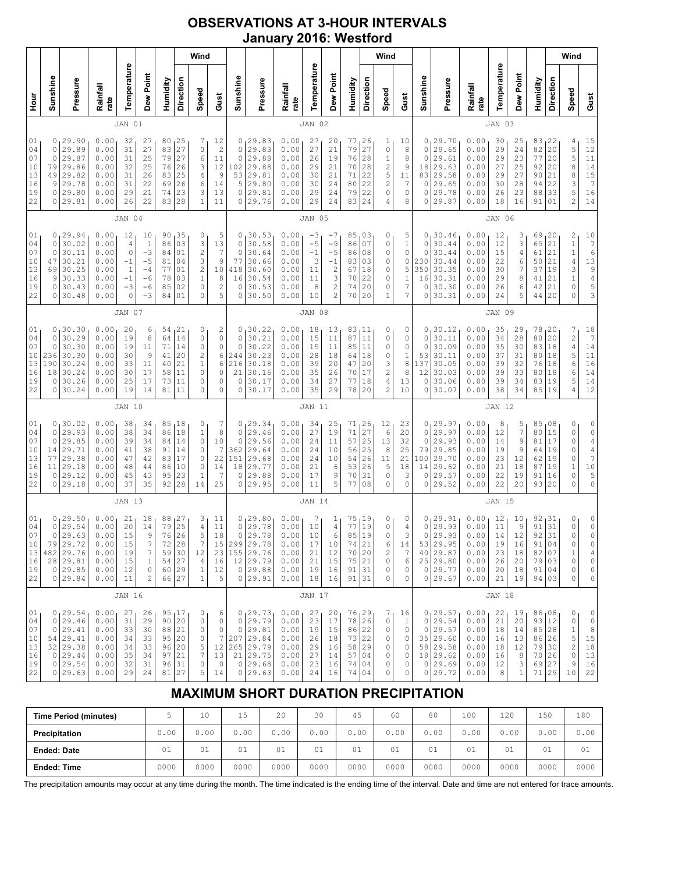# **OBSERVATIONS AT 3-HOUR INTERVALS January 2016: Westford**

|                                                                                                                                                                                                                                                                                                                                                                                                                                                                                  |                                                     |                                                                                       |                                                              |                                                                 |                                                                                     |                                                                   |                                                           | Wind                                                                  |                                                                                  |                                                       |                                                                                      |                                                              |                                                  |                                                                                                                                                                                                    |                                                                                   |                                                                | Wind                                                                 |                                                              |                                              |                                                                                           |                                                              |                                                 |                                                         |                                                                                                 |                                              | Wind                                                                                             |                                                                                                         |
|----------------------------------------------------------------------------------------------------------------------------------------------------------------------------------------------------------------------------------------------------------------------------------------------------------------------------------------------------------------------------------------------------------------------------------------------------------------------------------|-----------------------------------------------------|---------------------------------------------------------------------------------------|--------------------------------------------------------------|-----------------------------------------------------------------|-------------------------------------------------------------------------------------|-------------------------------------------------------------------|-----------------------------------------------------------|-----------------------------------------------------------------------|----------------------------------------------------------------------------------|-------------------------------------------------------|--------------------------------------------------------------------------------------|--------------------------------------------------------------|--------------------------------------------------|----------------------------------------------------------------------------------------------------------------------------------------------------------------------------------------------------|-----------------------------------------------------------------------------------|----------------------------------------------------------------|----------------------------------------------------------------------|--------------------------------------------------------------|----------------------------------------------|-------------------------------------------------------------------------------------------|--------------------------------------------------------------|-------------------------------------------------|---------------------------------------------------------|-------------------------------------------------------------------------------------------------|----------------------------------------------|--------------------------------------------------------------------------------------------------|---------------------------------------------------------------------------------------------------------|
| ј<br>Э                                                                                                                                                                                                                                                                                                                                                                                                                                                                           | Sunshine                                            | Pressure                                                                              | Rainfall<br>rate                                             | Temperature                                                     | Dew Point                                                                           | Humidity                                                          | Direction                                                 | Speed                                                                 | Gust                                                                             | Sunshine                                              | Pressure                                                                             | Rainfall<br>rate                                             | Temperature                                      | Dew Point                                                                                                                                                                                          | Humidity                                                                          | Direction                                                      | Speed                                                                | Gust                                                         | Sunshine                                     | Pressure                                                                                  | Rainfall<br>rate                                             | Temperature                                     | Dew Point                                               | Humidity                                                                                        | Direction                                    | Speed                                                                                            | Gust                                                                                                    |
|                                                                                                                                                                                                                                                                                                                                                                                                                                                                                  | JAN 01                                              |                                                                                       |                                                              |                                                                 |                                                                                     |                                                                   |                                                           |                                                                       | JAN 02                                                                           |                                                       |                                                                                      |                                                              |                                                  |                                                                                                                                                                                                    |                                                                                   |                                                                |                                                                      | JAN 03                                                       |                                              |                                                                                           |                                                              |                                                 |                                                         |                                                                                                 |                                              |                                                                                                  |                                                                                                         |
| 01<br>29.90<br>0.00<br>80<br>25<br>0<br>32<br>27<br>7<br>27<br>04<br>29.89<br>0.00<br>27<br>83<br>0<br>0<br>31<br>07<br>29.87<br>0.00<br>25<br>79<br>27<br>6<br>0<br>31<br>29.86<br>10<br>25<br>26<br>3<br>79<br>0.00<br>32<br>76<br>13<br>29.82<br>49<br>25<br>0.00<br>31<br>26<br>83<br>4<br>16<br>29.78<br>22<br>6<br>9<br>0.00<br>31<br>69<br>26<br>19<br>29.80<br>29<br>21<br>23<br>3<br>0<br>0.00<br>74<br>22<br>29.81<br>26<br>22<br>28<br>$\mathbf 1$<br>0<br>0.00<br>83 |                                                     |                                                                                       |                                                              |                                                                 |                                                                                     | 12<br>$\overline{c}$<br>11<br>12<br>$\mathsf 9$<br>14<br>13<br>11 | 0<br>$\circ$<br>$\circ$<br>102<br>53<br>5<br>$\circ$<br>0 | 129.83<br>29.83<br>29.88<br>29.88<br>29.81<br>29.80<br>29.81<br>29.76 | 0.00<br>0.00<br>0.00<br>0.00<br>0.00<br>0.00<br>0.00<br>0.00                     | 27<br>27<br>26<br>29<br>30<br>30<br>29<br>29          | 20<br>21<br>19<br>21<br>21<br>24<br>24<br>24                                         | 77<br>79<br>76<br>70<br>$7\,1$<br>80<br>79<br>83             | 26<br>27<br>28<br>28<br>22<br>22<br>22<br>24     | 1<br>0<br>$\mathbf 1$<br>$\overline{\mathbf{c}}$<br>5<br>$\overline{c}$<br>0<br>4                                                                                                                  | 10<br>8<br>8<br>9<br>11<br>7<br>0<br>8                                            | 0<br>0<br>0<br>18<br>83<br>0<br>0<br>0                         | 29.70<br>29.65<br>29.61<br>29.63<br>29.58<br>29.65<br>29.78<br>29.87 | 0.00<br>0.00<br>0.00<br>0.00<br>0.00<br>0.00<br>0.00<br>0.00 | 30<br>29<br>29<br>27<br>29<br>30<br>26<br>18 | 25<br>24<br>23<br>25<br>27<br>28<br>23<br>16                                              | 83<br>82<br>77<br>92<br>90<br>94<br>88<br>91                 | 22<br>20<br>20<br>20<br>21<br>22<br>33<br>01    | 4<br>5<br>5<br>8<br>8<br>3<br>5<br>$\overline{c}$       | $\begin{array}{c} 15 \\ 12 \end{array}$<br>$1\,1$<br>$1\,4$<br>15<br>$\overline{7}$<br>16<br>14 |                                              |                                                                                                  |                                                                                                         |
|                                                                                                                                                                                                                                                                                                                                                                                                                                                                                  |                                                     |                                                                                       |                                                              | JAN 04                                                          |                                                                                     |                                                                   |                                                           |                                                                       |                                                                                  |                                                       | JAN 05                                                                               |                                                              |                                                  |                                                                                                                                                                                                    |                                                                                   |                                                                |                                                                      |                                                              |                                              |                                                                                           |                                                              | JAN 06                                          |                                                         |                                                                                                 |                                              |                                                                                                  |                                                                                                         |
| 01<br>04<br>07<br>10<br>13<br>16<br>19<br>22                                                                                                                                                                                                                                                                                                                                                                                                                                     | 0<br>0<br>0<br>47<br>69<br>9<br>0<br>0              | 129.94<br>30.02<br>30.11<br>30.21<br>30.25<br>30.33<br>30.43<br>30.48                 | 0.00<br>0.00<br>0.00<br>0.00<br>0.00<br>0.00<br>0.00<br>0.00 | 12<br>4<br>$\circ$<br>$-1$<br>$\mathbf{1}$<br>$-1$<br>$-3$<br>0 | 10<br>$\mathbf{1}$<br>$-3$<br>$-5$<br>$-4$<br>$-6$<br>$-6$<br>$-3$                  | 90<br>86<br>84<br>81<br>77<br>78<br>85<br>84                      | 35<br>03<br>01<br>04<br>01<br>03<br>02<br>01              | 0<br>3<br>$\overline{c}$<br>3<br>$\overline{c}$<br>$\,1\,$<br>0<br>0  | 5<br>13<br>7<br>$\mathsf 9$<br>$10$<br>$\,$ 8 $\,$<br>2<br>5                     | 0<br>$\circ$<br>$\circ$<br>77<br>418<br>16<br>0<br>0  | 30.53<br>30.58<br>30.64<br>30.66<br>30.60<br>30.54<br>30.53<br>30.50                 | 0.00<br>0.00<br>0.00<br>0.00<br>0.00<br>0.00<br>0.00<br>0.00 | $-3$<br>$-5$<br>$-1$<br>3<br>11<br>11<br>8<br>10 | -7<br>$-9$<br>$-5$<br>$-1$<br>$\overline{\mathbf{c}}$<br>3<br>$\mathfrak{2}% _{T}=\mathfrak{2}_{T}\!\left( a,b\right) ,\ \mathfrak{2}_{T}=\mathfrak{2}_{T}\!\left( a,b\right) ,$<br>$\overline{c}$ | 85<br>86<br>86<br>83<br>67<br>70<br>74<br>70                                      | 03 ر<br>07<br>08<br>03<br>18<br>22<br>20<br>20                 | 0<br>0<br>0<br>0<br>0<br>0<br>0<br>1                                 | 5<br>1<br>0<br>0<br>5<br>1<br>7<br>7                         | 0<br>0<br>0<br>230<br>350<br>16<br>0<br>0    | 30.46<br>30.44<br>30.44<br>30.44<br>30.35<br>30.31<br>30.30<br>30.31                      | 0.00<br>0.00<br>0.00<br>0.00<br>0.00<br>0.00<br>0.00<br>0.00 | 12<br>12<br>15<br>22<br>30<br>29<br>26<br>24    | 3<br>3<br>4<br>6<br>$\overline{7}$<br>8<br>6<br>5       | 69<br>65<br>61<br>50<br>37<br>41<br>42<br>44                                                    | 20<br>21<br>21<br>21<br>19<br>21<br>21<br>20 | $\overline{\mathbf{c}}$<br>$\mathbf 1$<br>$\,1\,$<br>$\sqrt{4}$<br>3<br>$\,1\,$<br>0<br>$\Omega$ | 10<br>$\boldsymbol{\tau}$<br>6<br>13<br>9453                                                            |
|                                                                                                                                                                                                                                                                                                                                                                                                                                                                                  | JAN 07                                              |                                                                                       |                                                              |                                                                 |                                                                                     |                                                                   |                                                           |                                                                       |                                                                                  |                                                       | JAN 08                                                                               |                                                              |                                                  |                                                                                                                                                                                                    |                                                                                   |                                                                |                                                                      |                                                              |                                              | JAN 09                                                                                    |                                                              |                                                 |                                                         |                                                                                                 |                                              |                                                                                                  |                                                                                                         |
| 01<br>04<br>07<br>10<br>13<br>16<br>19<br>22                                                                                                                                                                                                                                                                                                                                                                                                                                     | 0<br>$\mathbf 0$<br>0<br>236<br>190<br>18<br>0<br>0 | 30.30<br>30.29<br>30.30<br>30.30<br>30.24<br>30.24<br>30.26<br>30.24                  | 0.00<br>0.00<br>0.00<br>0.00<br>0.00<br>0.00<br>0.00<br>0.00 | 20<br>19<br>19<br>30<br>33<br>30<br>25<br>19                    | 6<br>8<br>11<br>9<br>11<br>17<br>17<br>14                                           | 54<br>64<br>71<br>41<br>40<br>58<br>73<br>81                      | 21<br>14<br>14<br>20<br>21<br>11<br>11<br>11              | 0<br>0<br>0<br>$\overline{c}$<br>$1\,$<br>0<br>0<br>0                 | 2<br>$\circ$<br>$\mathsf{O}\xspace$<br>$\epsilon$<br>6<br>$\circ$<br>0<br>0      | 0<br>$\circ$<br>$\circ$<br>244<br>216<br>21<br>0<br>0 | 30.22<br>30.21<br>30.22<br>30.23<br>30.18<br>30.16<br>30.17<br>30.17                 | 0.00<br>0.00<br>0.00<br>0.00<br>0.00<br>0.00<br>0.00<br>0.00 | 18<br>15<br>15<br>28<br>39<br>35<br>34<br>35     | 13<br>11<br>11<br>18<br>20<br>26<br>27<br>29                                                                                                                                                       | $\begin{array}{c} 83 \\ 87 \\ 11 \end{array}$<br>85<br>64<br>47<br>70<br>77<br>78 | 11<br>18<br>20<br>17<br>18<br>20                               | 0<br>0<br>0<br>0<br>3<br>2<br>4<br>$\overline{2}$                    | 0<br>0<br>0<br>$\mathbf{1}$<br>8<br>8<br>13<br>10            | 0<br>0<br>0<br>53<br>137<br>12<br>0<br>0     | 30.12<br>30.11<br>30.09<br>30.11<br>30.05<br>30.03<br>30.06<br>30.07                      | 0.00<br>0.00<br>0.00<br>0.00<br>0.00<br>0.00<br>0.00<br>0.00 | 35<br>34<br>35<br>37<br>39<br>39<br>39<br>38    | 29<br>28<br>30<br>31<br>32<br>33<br>34<br>34            | 78<br>80<br>83<br>80<br>76<br>80<br>83<br>85 19                                                 | 20 <br>20<br>18<br>18<br> 18<br>18<br>19     | 7<br>$\frac{2}{4}$<br>5<br>$\sqrt{6}$<br>6<br>5<br>$\overline{4}$                                | 18<br>$\boldsymbol{\tau}$<br>$1\,4$<br>$1\,1$<br>16<br>14<br>14<br>12                                   |
|                                                                                                                                                                                                                                                                                                                                                                                                                                                                                  |                                                     |                                                                                       |                                                              | <b>JAN 10</b>                                                   |                                                                                     |                                                                   |                                                           |                                                                       |                                                                                  |                                                       |                                                                                      |                                                              | JAN 11                                           |                                                                                                                                                                                                    |                                                                                   |                                                                |                                                                      |                                                              |                                              |                                                                                           |                                                              | <b>JAN 12</b>                                   |                                                         |                                                                                                 |                                              |                                                                                                  |                                                                                                         |
| 01<br>04<br>07<br>10<br>13<br>16<br>19<br>22                                                                                                                                                                                                                                                                                                                                                                                                                                     | $\circ$<br>0<br>14<br>77<br>11<br>0                 | 0, 30.02<br>29.93<br>29.85<br>29.71<br>29.38<br>29.18<br>29.12<br>0 29.18             | 0.00<br>0.00<br>0.00<br>0.00<br>0.00<br>0.00<br>0.00<br>0.00 | 38<br>38<br>39<br>41<br>47<br>48<br>45<br>37                    | 34<br>34<br>34<br>38<br>42<br>44<br>43<br>35                                        | 85,18<br>86<br>84<br>91<br>83<br>86<br>95<br>92                   | 18<br>14<br>14<br>17<br>10<br>23<br>28                    | 0<br>$\mathbf 1$<br>0<br>$\mathbb O$<br>0<br>0<br>$\mathbf 1$<br>14   | 7<br>8<br>10<br>7<br>22<br>14<br>7<br>25                                         | 0<br>$\circ$<br>$\circ$<br>362<br>151<br>18<br>0<br>0 | 129.34<br>29.46<br>29.56<br>29.64<br>29.68<br>29.77<br>29.88<br>29.95                | 0.00<br>0.00<br>0.00<br>0.00<br>0.00<br>0.00<br>0.00<br>0.00 | 34<br>27<br>24<br>24<br>24<br>21<br>17<br>11     | 25<br>19<br>11<br>10<br>10<br>6<br>9<br>5                                                                                                                                                          | 71, 26<br>71<br>57<br>56<br>54<br>53<br>70<br>77                                  | 27<br>25<br>25<br>26<br>26<br>31<br>08                         | 12<br>6<br>13<br>8<br>11<br>5<br>0<br>0                              | 23<br>20<br>32<br>25<br>21<br>18<br>3<br>0                   | 0<br>0<br>0<br>79<br>100<br>14<br>0<br>0     | 129.97<br>29.97<br>29.93<br>29.85<br>29.70<br>29.62<br>29.57<br>29.52                     | 0.00<br>0.00<br>0.00<br>0.00<br>0.00<br>0.00<br>0.00<br>0.00 | 8<br>12<br>14<br>19<br>23<br>21<br>22<br>22     | 5<br>$\boldsymbol{7}$<br>9<br>9<br>12<br>18<br>19<br>20 | 85,08<br>80<br>81<br>64<br>62<br>87<br>91<br>93                                                 | 15<br>$17\,$<br>19<br>19<br>19<br>16<br>20   | 0<br>0<br>0<br>0<br>0<br>$\mathbf 1$<br>$\circ$<br>$\Omega$                                      | 0<br>$\circ$<br>$\begin{array}{c} 4 \\ 4 \\ 7 \end{array}$<br>$10$<br>5<br>0                            |
|                                                                                                                                                                                                                                                                                                                                                                                                                                                                                  |                                                     |                                                                                       |                                                              | <b>JAN 13</b>                                                   |                                                                                     |                                                                   |                                                           |                                                                       |                                                                                  |                                                       |                                                                                      |                                                              | JAN 14                                           |                                                                                                                                                                                                    |                                                                                   |                                                                |                                                                      |                                                              |                                              |                                                                                           |                                                              | <b>JAN 15</b>                                   |                                                         |                                                                                                 |                                              |                                                                                                  |                                                                                                         |
| 01<br>04<br>07<br>10<br>13<br>16<br>19<br>22                                                                                                                                                                                                                                                                                                                                                                                                                                     | 0<br>0                                              | 0, 29.50<br>29.54<br>29.63<br>79 29.72<br>482 29.76<br>28 29.81<br>0 29.85<br>0 29.84 | 0.00<br>0.00<br>0.00<br>0.00<br>0.00<br>0.00<br>0.00<br>0.00 | 21<br>20<br>15<br>15<br>19<br>15<br>12<br>11                    | 18<br>14<br>9<br>7<br>$\boldsymbol{7}$<br>$\mathbf{1}$<br>$\circ$<br>$\overline{c}$ | 88<br>79<br>76<br>72<br>59<br>54<br>60 29<br>66 27                | 27<br>25<br>26<br>28<br>30<br>27                          | 3<br>4<br>5<br>7<br>12<br>$\overline{4}$<br>$1\,$<br>$\,1$            | 11<br>11<br>18<br>15<br>23<br>16<br>12<br>5                                      | $\circ$<br>$\circ$<br>$\circ$                         | 0, 29.80<br>29.78<br>29.78<br>299 29.78<br>155 29.76<br>12 29.79<br>29.88<br>0 29.91 | 0.00<br>0.00<br>0.00<br>0.00<br>0.00<br>0.00<br>0.00<br>0.00 | 7<br>10<br>10<br>17<br>21<br>21<br>19<br>18      | ı<br>$\sqrt{4}$<br>6<br>10<br>12<br>15<br>16<br>16                                                                                                                                                 | 75<br>77<br>85<br>74<br>70<br>75<br>91<br>91                                      | <sub>l</sub> 19<br>19<br>19<br>21<br>20<br> 21<br>$31\,$<br>31 | 0<br>0<br>0<br>6<br>2<br>0<br>0<br>0                                 | 0<br>4<br>3<br>14<br>7<br>6<br>0<br>0                        | 0<br>0<br>0<br>53<br>40                      | 29.91<br>29.93<br>29.93<br>29.95<br>29.87<br>25 29.80<br>$0$ 29.77<br>0 29.67             | 0.00<br>0.00<br>0.00<br>0.00<br>0.00<br>0.00<br>0.00<br>0.00 | 12<br>11<br>14<br>19<br>23<br>26<br>20<br>21    | 10<br>9<br>12<br>16<br>18<br>20<br>18<br>19             | 92<br>91<br>92<br>91 04<br>82 07<br>79 03                                                       | ∣31<br>31<br>31<br>91 04<br>94 03            | 0<br>0<br>$\circ$<br>0<br>1<br>0<br>0<br>0                                                       | 0<br>0<br>0<br>0<br>4<br>$\mathbb O$<br>0<br>0                                                          |
|                                                                                                                                                                                                                                                                                                                                                                                                                                                                                  |                                                     |                                                                                       |                                                              | JAN 16                                                          |                                                                                     |                                                                   |                                                           |                                                                       |                                                                                  |                                                       |                                                                                      |                                                              | <b>JAN 17</b>                                    |                                                                                                                                                                                                    |                                                                                   |                                                                |                                                                      |                                                              |                                              |                                                                                           |                                                              | <b>JAN 18</b>                                   |                                                         |                                                                                                 |                                              |                                                                                                  |                                                                                                         |
| 01<br>04<br>07<br>10<br>13<br>16<br>19<br>22                                                                                                                                                                                                                                                                                                                                                                                                                                     | 0<br>0<br>0                                         | 0, 29.54<br>29.46<br>29.41<br>54 29.41<br>32 29.38<br>29.44<br>0 29.54<br>0 29.63     | 0.00<br>0.00<br>0.00<br>0.00<br>0.00<br>0.00<br>0.00<br>0.00 | 27<br>31<br>33<br>34<br>34<br>35<br>32<br>29                    | 26<br>29<br>30<br>33<br>33<br>34<br>31<br>24                                        | 95, 17<br>90<br>88<br>95 20<br>96<br>97 21<br>96<br>81            | 20<br>21<br>20<br>31<br>27                                | 0<br>0<br>0<br>0<br>$\frac{5}{7}$<br>0<br>5                           | 6<br>$\mathbb O$<br>$\mathbb O$<br>$\boldsymbol{7}$<br>12<br>13<br>$\circ$<br>14 | $\circ$<br>21<br>0                                    | 0, 29.73<br>0 29.79<br>29.81<br>207 29.84<br>265 29.79<br>29.75<br>0 29.68<br>29.63  | 0.00<br>0.00<br>0.00<br>0.00<br>0.00<br>0.00<br>0.00<br>0.00 | 27<br>23<br>19<br>26<br>29<br>27<br>23<br>24     | 20<br>17<br>15<br>18<br>16<br>14<br>16<br>16                                                                                                                                                       | 76, 29<br>78 26<br>86 22<br>73 22<br>58<br>57 04<br>74<br>74                      | 29<br>04<br>04                                                 | 7<br>0<br>0<br>0<br>0<br>0<br>0<br>0                                 | 16<br>1<br>0<br>0<br>0<br>0<br>0<br>0                        | 0<br>0<br>$\circ$                            | 129.57<br>29.54<br>29.57<br>$35 \mid 29.60$<br>58 29.58<br>18 29.62<br>0 29.69<br>0 29.72 | 0.00<br>0.00<br>0.00<br>0.00<br>0.00<br>0.00<br>0.00<br>0.00 | 22<br>21<br>18<br>16<br>$1\,8$<br>16<br>12<br>8 | 19<br>20<br>14<br>$13$<br>$12$<br>8<br>3<br>$\mathbf 1$ | 86,08<br>93 12<br>85 28<br>86 26<br>79 30<br>70 26<br>69 27                                     | 71 29                                        | 0<br>0<br>$\mathbbm{1}$<br>5<br>$\overline{c}$<br>0<br>9<br>10                                   | 0<br>$\mathbb O$<br>$\,$ 8 $\,$<br>$1\,5$<br>$\begin{smallmatrix}1&8\\1&3\end{smallmatrix}$<br>16<br>22 |

# **MAXIMUM SHORT DURATION PRECIPITATION**

| <b>Time Period (minutes)</b> |      | 10   | 15   | 20   | 30   | 45   | 60   | 80   | 100  | 120  | 150  | 180  |
|------------------------------|------|------|------|------|------|------|------|------|------|------|------|------|
| Precipitation                | 0.00 | 0.00 | 0.00 | 0.00 | 0.00 | 0.00 | 0.00 | 0.00 | 0.00 | 0.00 | 0.00 | 0.00 |
| <b>Ended: Date</b>           | 01   | 01   | 01   | 01   | 01   | 01   | 01   | 01   | 01   | 01   | 01   | 01   |
| <b>Ended: Time</b>           | 0000 | 0000 | 0000 | 0000 | 0000 | 0000 | 0000 | 0000 | 0000 | 0000 | 0000 | 0000 |

The precipitation amounts may occur at any time during the month. The time indicated is the ending time of the interval. Date and time are not entered for trace amounts.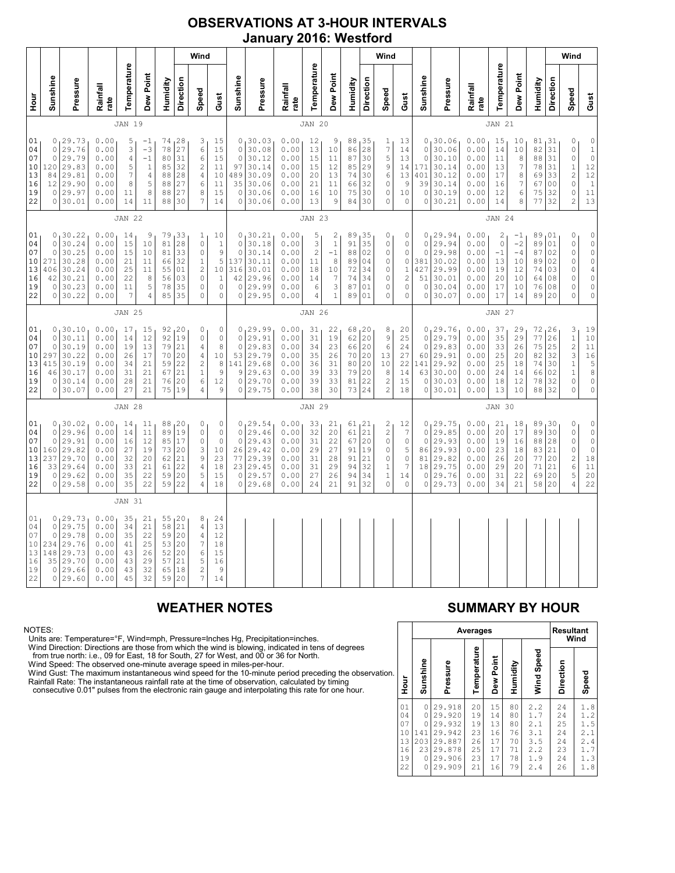### **OBSERVATIONS AT 3-HOUR INTERVALS January 2016: Westford**

|                                              |                                                            |                                                                           |                                                              |                                                          |                                                                           |                                              |                                                  | Wind                                                              |                                                                        |                                                                       |                                                                           |                                                              |                                                      |                                                         |                                              |                                                | Wind                                                                      |                                                                 |                                                              |                                                                         |                                                              |                                              |                                                    |                                                 |                                                    | Wind                                                                                                    |                                                                                                                       |
|----------------------------------------------|------------------------------------------------------------|---------------------------------------------------------------------------|--------------------------------------------------------------|----------------------------------------------------------|---------------------------------------------------------------------------|----------------------------------------------|--------------------------------------------------|-------------------------------------------------------------------|------------------------------------------------------------------------|-----------------------------------------------------------------------|---------------------------------------------------------------------------|--------------------------------------------------------------|------------------------------------------------------|---------------------------------------------------------|----------------------------------------------|------------------------------------------------|---------------------------------------------------------------------------|-----------------------------------------------------------------|--------------------------------------------------------------|-------------------------------------------------------------------------|--------------------------------------------------------------|----------------------------------------------|----------------------------------------------------|-------------------------------------------------|----------------------------------------------------|---------------------------------------------------------------------------------------------------------|-----------------------------------------------------------------------------------------------------------------------|
| ј<br>Э                                       | Sunshine                                                   | Pressure                                                                  | Rainfall<br>rate                                             | Temperature                                              | Dew Point                                                                 | Humidity                                     | Direction                                        | Speed                                                             | Gust                                                                   | Sunshine                                                              | Pressure                                                                  | Rainfall<br>rate                                             | Temperature                                          | Dew Point                                               | Humidity                                     | Direction                                      | Speed                                                                     | Gust                                                            | Sunshine                                                     | Pressure                                                                | Rainfall<br>rate                                             | Temperature                                  | Dew Point                                          | Humidity                                        | <b>Direction</b>                                   | Speed                                                                                                   | Gust                                                                                                                  |
|                                              |                                                            |                                                                           |                                                              | <b>JAN 19</b>                                            |                                                                           |                                              |                                                  |                                                                   |                                                                        |                                                                       |                                                                           |                                                              | <b>JAN 20</b>                                        |                                                         |                                              |                                                |                                                                           |                                                                 |                                                              |                                                                         |                                                              | <b>JAN 21</b>                                |                                                    |                                                 |                                                    |                                                                                                         |                                                                                                                       |
| 01<br>04<br>07<br>10<br>13<br>16<br>19<br>22 | $\circ$<br>$\mathbb O$<br>120<br>84<br>12<br>0             | 0, 29.73<br>29.76<br>29.79<br>29.83<br>29.81<br>29.90<br>29.97<br>0 30.01 | 0.00<br>0.00<br>0.00<br>0.00<br>0.00<br>0.00<br>0.00<br>0.00 | 5<br>3<br>$\sqrt{4}$<br>5<br>7<br>8<br>11<br>14          | $^{-1}$<br>$-3$<br>$-1$<br>$\mathbf{1}$<br>$\overline{4}$<br>5<br>8<br>11 | 78<br>80<br>85<br>88<br>88<br>88<br>88       | 74, 28<br>27<br>31<br>32<br>28<br>27<br>27<br>30 | 3<br>6<br>6<br>$\overline{c}$<br>4<br>6<br>8<br>7                 | 15<br>15<br>15<br>11<br>10<br>11<br>15<br>14                           | $\circ$<br>$\circ$<br>97<br>489<br>35<br>$\circ$                      | 0, 30.03<br>30.08<br>30.12<br>30.14<br>30.09<br>30.06<br>30.06<br>0 30.06 | 0.00<br>0.00<br>0.00<br>0.00<br>0.00<br>0.00<br>0.00<br>0.00 | 12<br>13<br>15<br>15<br>20<br>21<br>16<br>13         | 9<br>10<br>11<br>12<br>13<br>11<br>10<br>9              | 88<br>86<br>87<br>85<br>74<br>66<br>75<br>84 | 135<br>28<br>30<br>29<br>30<br>32<br>30<br>30  | 1<br>7<br>5<br>9<br>6<br>0<br>0<br>0                                      | 13<br>14<br>13<br>14<br>13<br>9<br>10<br>$\circ$                | $\circ$<br>$\circ$<br>171<br>401<br>39<br>$\circ$<br>$\circ$ | 0, 30.06<br>30.06<br>30.10<br>30.14<br>30.12<br>30.14<br>30.19<br>30.21 | 0.00<br>0.00<br>0.00<br>0.00<br>0.00<br>0.00<br>0.00<br>0.00 | 15<br>14<br>11<br>13<br>17<br>16<br>12<br>14 | 10<br>10<br>8<br>7<br>8<br>7<br>6<br>8             | 81,31<br>82<br>88<br>78<br>69<br>67<br>75<br>77 | 31<br>31<br>31<br>33<br>0 <sub>0</sub><br>32<br>32 | 0<br>$\mathbb O$<br>$\mathbb O$<br>$\,1\,$<br>$\overline{\mathbf{c}}$<br>$\circ$<br>0<br>$\overline{c}$ | $\begin{array}{c} 0 \\ 1 \\ 0 \\ 12 \end{array}$<br>$12$<br>$\mathbf 1$<br>11<br>13                                   |
|                                              |                                                            |                                                                           |                                                              | <b>JAN 22</b>                                            |                                                                           |                                              |                                                  |                                                                   |                                                                        |                                                                       |                                                                           |                                                              | <b>JAN 23</b>                                        |                                                         |                                              |                                                |                                                                           |                                                                 |                                                              |                                                                         |                                                              | <b>JAN 24</b>                                |                                                    |                                                 |                                                    |                                                                                                         |                                                                                                                       |
| 01<br>04<br>07<br>10<br>13<br>16<br>19<br>22 | 0<br>$\mathbf{0}$<br>$\circ$<br>271<br>406<br>42<br>0<br>0 | 130.22<br>30.24<br>30.25<br>30.28<br>30.24<br>30.21<br>30.23<br>30.22     | 0.00<br>0.00<br>0.00<br>0.00<br>0.00<br>0.00<br>0.00<br>0.00 | 14<br>15<br>15<br>21<br>25<br>22<br>11<br>$\overline{7}$ | 9<br>$10$<br>10<br>11<br>11<br>8<br>5<br>$\overline{4}$                   | 79<br>81<br>81<br>66<br>55<br>56<br>78<br>85 | 33<br>28<br>33<br>32<br>01<br>03<br>35<br>35     | 1<br>$\circ$<br>0<br>$1\,$<br>$\sqrt{2}$<br>$\mathbf 0$<br>0<br>0 | 10<br>$\,1\,$<br>$\mathsf 9$<br>5<br>10<br>$\,1\,$<br>$\mathbb O$<br>0 | $\circ$<br>$\mathbf{0}$<br>137<br>316<br>42<br>$\circ$<br>$\mathbf 0$ | 0, 30.21<br>30.18<br>30.14<br>30.11<br>30.01<br>29.96<br>29.99<br>29.95   | 0.00<br>0.00<br>0.00<br>0.00<br>0.00<br>0.00<br>0.00<br>0.00 | 5<br>3<br>$\overline{c}$<br>11<br>18<br>14<br>6<br>4 | 2<br>$1\,$<br>$-1$<br>8<br>10<br>7<br>3<br>$\mathbf{1}$ | 89<br>91<br>88<br>89<br>72<br>74<br>87<br>89 | 35 ا<br>35<br>02<br>04<br>34<br>34<br>01<br>01 | 0<br>$\mathsf{O}\xspace$<br>0<br>0<br>0<br>0<br>0<br>$\Omega$             | 0<br>0<br>0<br>0<br>1<br>2<br>0<br>0                            | $\circ$<br>$\circ$<br>381<br>427<br>51<br>0<br>0             | 0, 29.94<br>29.94<br>29.98<br>30.02<br>29.99<br>30.01<br>30.04<br>30.07 | 0.00<br>0.00<br>0.00<br>0.00<br>0.00<br>0.00<br>0.00<br>0.00 | 2<br>0<br>$-1$<br>13<br>19<br>20<br>17<br>17 | $-1$<br>$-2$<br>$-4$<br>10<br>12<br>10<br>10<br>14 | 89<br>89<br>87<br>89<br>74<br>64<br>76<br>89    | 01<br>01<br>02<br>02<br>03<br>08<br>08<br>20       | 0<br>$\circ$<br>$\mathbb O$<br>$\mathbb O$<br>0<br>0<br>0<br>$\circ$                                    | $\begin{matrix} 0 \\ 0 \end{matrix}$<br>$\mathbb O$<br>$\circ$<br>$\overline{4}$<br>$\mathbb O$<br>$\circ$<br>$\circ$ |
|                                              |                                                            |                                                                           |                                                              | <b>JAN 25</b>                                            |                                                                           |                                              |                                                  |                                                                   |                                                                        |                                                                       |                                                                           |                                                              | <b>JAN 26</b>                                        |                                                         |                                              |                                                |                                                                           |                                                                 |                                                              |                                                                         |                                                              | <b>JAN 27</b>                                |                                                    |                                                 |                                                    |                                                                                                         |                                                                                                                       |
| 01<br>04<br>07<br>10<br>13<br>16<br>19<br>22 | 0<br>$\circ$<br>297<br>415<br>46<br>$\circ$                | 0, 30.10<br>30.11<br>30.19<br>30.22<br>30.19<br>30.17<br>30.14<br>0 30.07 | 0.00<br>0.00<br>0.00<br>0.00<br>0.00<br>0.00<br>0.00<br>0.00 | 17<br>14<br>19<br>26<br>34<br>31<br>28<br>27             | 15<br>12<br>13<br>17<br>21<br>21<br>21<br>21                              | 92<br>79<br>70<br>59<br>67<br>76<br>75       | 92, 20<br>19<br>21<br>20<br>22<br>21<br>20<br>19 | 0<br>$\circ$<br>4<br>4<br>$\overline{c}$<br>$\mathbf 1$<br>6<br>4 | 0<br>$\circ$<br>8<br>$10$<br>$\,$ 8 $\,$<br>$\mathsf 9$<br>12<br>9     | $\circ$<br>$\circ$<br>53<br>141<br>9<br>$\mathbf 0$<br>$\circ$        | 0, 29.99<br>29.91<br>29.83<br>29.79<br>29.68<br>29.63<br>29.70<br>29.75   | 0.00<br>0.00<br>0.00<br>0.00<br>0.00<br>0.00<br>0.00<br>0.00 | 31<br>31<br>34<br>35<br>36<br>39<br>39<br>38         | 22<br>19<br>23<br>26<br>31<br>33<br>33<br>30            | 68<br>62<br>66<br>70<br>80<br>79<br>81<br>73 | 120<br> 20<br>20<br>20<br>20<br>20<br>22<br>24 | 8<br>9<br>6<br>13<br>10<br>8<br>$\overline{\mathbf{c}}$<br>$\overline{c}$ | 20<br>25<br>24<br>27<br>22<br>14<br>15<br>18                    | $\circ$<br>$\circ$<br>60<br>141<br>63<br>0<br>$\circ$        | 0, 29.76<br>29.79<br>29.83<br>29.91<br>29.92<br>30.00<br>30.03<br>30.01 | 0.00<br>0.00<br>0.00<br>0.00<br>0.00<br>0.00<br>0.00<br>0.00 | 37<br>35<br>33<br>25<br>25<br>24<br>18<br>13 | 29<br>29<br>26<br>20<br>18<br>14<br>12<br>10       | 72<br>77<br>75<br>82<br>74<br>66<br>78<br>88    | 26<br>26<br>25<br>32<br>30<br>02<br>32<br>32       | 3<br>$\mathbf 1$<br>$\overline{c}$<br>3<br>$1\,$<br>$1\,$<br>$\circ$<br>$\circ$                         | 19<br>$10$<br>$11\,$<br>$1\,6$<br>$\begin{array}{c} 5 \\ 8 \end{array}$<br>$\mathbb O$<br>$\mathbb O$                 |
|                                              |                                                            |                                                                           |                                                              | <b>JAN 28</b>                                            |                                                                           |                                              |                                                  |                                                                   |                                                                        |                                                                       |                                                                           |                                                              | <b>JAN 29</b>                                        |                                                         |                                              |                                                |                                                                           |                                                                 |                                                              |                                                                         |                                                              | <b>JAN 30</b>                                |                                                    |                                                 |                                                    |                                                                                                         |                                                                                                                       |
| 01<br>04<br>07<br>10<br>13<br>16<br>19<br>22 | 0<br>0<br>$\circ$<br>160<br>237<br>33<br>$\circ$           | , 30.02<br>29.96<br>29.91<br>29.82<br>29.70<br>29.64<br>29.62<br>0 29.58  | 0.00<br>0.00<br>0.00<br>0.00<br>0.00<br>0.00<br>0.00<br>0.00 | 14<br>14<br>16<br>27<br>32<br>33<br>35<br>35             | 11<br>11<br>12<br>19<br>20<br>21<br>22<br>22                              | 89<br>85<br>73<br>62<br>61<br>59<br>59       | 88, 20<br>19<br>17<br>20<br>21<br>22<br>20<br>22 | 0<br>0<br>0<br>3<br>9<br>$\sqrt{4}$<br>5<br>4                     | 0<br>$\mathbb O$<br>0<br>10<br>23<br>18<br>15<br>18                    | $\circ$<br>$\mathbf{0}$<br>26<br>77<br>23<br>$\circ$                  | 0, 29.54<br>29.46<br>29.43<br>29.42<br>29.39<br>29.45<br>29.57<br>0 29.68 | 0.00<br>0.00<br>0.00<br>0.00<br>0.00<br>0.00<br>0.00<br>0.00 | 33<br>32<br>31<br>29<br>31<br>31<br>27<br>24         | 21<br>20<br>22<br>27<br>28<br>29<br>26<br>21            | 61<br>61<br>67<br>91<br>91<br>94<br>94<br>91 | 121<br>21<br>20<br>19<br>21<br>32<br>34<br>32  | 2<br>$\overline{c}$<br>0<br>$\mathsf{O}\xspace$<br>0<br>1<br>$\,1\,$<br>0 | 12<br>$\boldsymbol{7}$<br>$\mathbb O$<br>5<br>0<br>7<br>14<br>0 | 0<br>$\circ$<br>86<br>81<br>18<br>$\circ$<br>0               | 0, 29.75<br>29.85<br>29.93<br>29.93<br>29.82<br>29.75<br>29.76<br>29.73 | 0.00<br>0.00<br>0.00<br>0.00<br>0.00<br>0.00<br>0.00<br>0.00 | 21<br>20<br>19<br>23<br>26<br>29<br>31<br>34 | 18<br>17<br>16<br>18<br>20<br>20<br>22<br>21       | 89<br>89<br>88<br>83<br>77<br>71<br>69<br>58    | 30<br>30<br>28<br>21<br>20<br>21<br>20<br>20       | 0<br>0<br>$\circ$<br>$\mathbb O$<br>$\overline{c}$<br>6<br>5<br>$\overline{4}$                          | $\begin{matrix} 0 \\ 0 \end{matrix}$<br>$\circ$<br>$\circ$<br>$1\,8$<br>$1\,1$<br>20<br>22                            |
|                                              |                                                            |                                                                           |                                                              | <b>JAN 31</b>                                            |                                                                           |                                              |                                                  |                                                                   |                                                                        |                                                                       |                                                                           |                                                              |                                                      |                                                         |                                              |                                                |                                                                           |                                                                 |                                                              |                                                                         |                                                              |                                              |                                                    |                                                 |                                                    |                                                                                                         |                                                                                                                       |
| 01<br>04<br>07<br>10<br>13<br>16<br>19<br>22 | 0<br>0<br>0<br>234<br>148<br>35<br>$\circ$                 | 129.73<br>29.75<br>29.78<br>29.76<br>29.73<br>29.70<br>29.66<br>0 29.60   | 0.00<br>0.00<br>0.00<br>0.00<br>0.00<br>0.00<br>0.00<br>0.00 | 35<br>34<br>35<br>41<br>43<br>43<br>43<br>45             | 21<br>21<br>22<br>25<br>26<br>29<br>32<br>32                              | 58<br>59<br>53<br>52<br>57<br>65<br>59       | 55, 20<br>21<br>20<br>20<br>20<br>21<br>18<br>20 | 8<br>4<br>4<br>$\boldsymbol{7}$<br>6<br>5<br>$\overline{c}$<br>7  | 24<br>13<br>12<br>18<br>15<br>16<br>$\overline{9}$<br>14               |                                                                       |                                                                           |                                                              |                                                      |                                                         |                                              |                                                |                                                                           |                                                                 |                                                              |                                                                         |                                                              |                                              |                                                    |                                                 |                                                    |                                                                                                         |                                                                                                                       |

### NOTES:

Units are: Temperature=°F, Wind=mph, Pressure=Inches Hg, Precipitation=inches.<br>Wind Direction: Directions are those from which the wind is blowing, indicated in tens of degrees<br>from true north: i.e., 09 for East, 18 for So

# **WEATHER NOTES SUMMARY BY HOUR**

|    |                                              |                                           |                                                                              | <b>Averages</b>                              |                                              | <b>Resultant</b><br>Wind                     |                                                      |                                              |                                                      |  |
|----|----------------------------------------------|-------------------------------------------|------------------------------------------------------------------------------|----------------------------------------------|----------------------------------------------|----------------------------------------------|------------------------------------------------------|----------------------------------------------|------------------------------------------------------|--|
| n. | Hour                                         | Sunshine                                  | Pressure                                                                     | Temperature                                  | Dew Point                                    | Humidity                                     | Wind Speed                                           | Direction                                    | Speed                                                |  |
|    | 01<br>04<br>07<br>10<br>13<br>16<br>19<br>22 | 0<br>0<br>0<br>141<br>203<br>23<br>0<br>0 | 29.918<br>29.920<br>29.932<br>29.942<br>29.887<br>29.878<br>29.906<br>29.909 | 20<br>19<br>19<br>23<br>26<br>25<br>23<br>21 | 15<br>14<br>13<br>16<br>17<br>17<br>17<br>16 | 80<br>80<br>80<br>76<br>70<br>71<br>78<br>79 | 2.2<br>1.7<br>2.1<br>3.1<br>3.5<br>2.2<br>1.9<br>2.4 | 24<br>24<br>25<br>24<br>24<br>23<br>24<br>26 | 1.8<br>1.2<br>1.5<br>2.1<br>2.4<br>1.7<br>1.3<br>1.8 |  |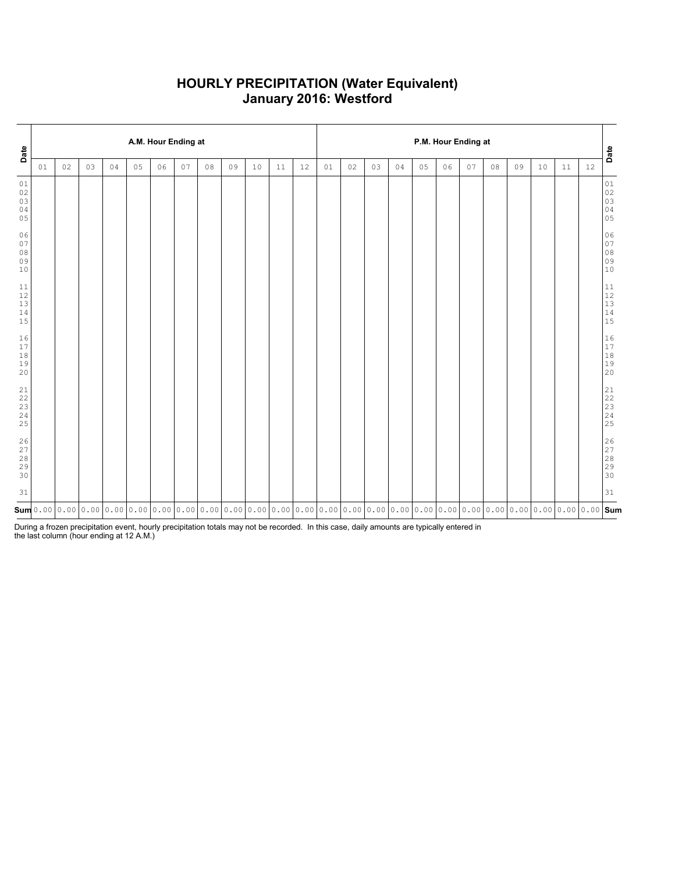### **HOURLY PRECIPITATION (Water Equivalent) January 2016: Westford**

| Date                                                      |    |    |    |    |    | A.M. Hour Ending at                                                                                                                                                                                                                                                                    |    |    |    |    |    |    | P.M. Hour Ending at |    |    |    |    |    |    |    |    |    |    |      | Date                                                                                     |
|-----------------------------------------------------------|----|----|----|----|----|----------------------------------------------------------------------------------------------------------------------------------------------------------------------------------------------------------------------------------------------------------------------------------------|----|----|----|----|----|----|---------------------|----|----|----|----|----|----|----|----|----|----|------|------------------------------------------------------------------------------------------|
|                                                           | 01 | 02 | 03 | 04 | 05 | 06                                                                                                                                                                                                                                                                                     | 07 | 08 | 09 | 10 | 11 | 12 | 01                  | 02 | 03 | 04 | 05 | 06 | 07 | 08 | 09 | 10 | 11 | $12$ |                                                                                          |
| 01<br>02<br>03<br>04<br>05                                |    |    |    |    |    |                                                                                                                                                                                                                                                                                        |    |    |    |    |    |    |                     |    |    |    |    |    |    |    |    |    |    |      | 01<br>02<br>03<br>03<br>04<br>05                                                         |
| 06<br>07<br>$08$<br>09<br>10                              |    |    |    |    |    |                                                                                                                                                                                                                                                                                        |    |    |    |    |    |    |                     |    |    |    |    |    |    |    |    |    |    |      | 06<br>$0\,7$<br>$08$<br>$09$<br>10                                                       |
| 11<br>12<br>$13$<br>14<br>15                              |    |    |    |    |    |                                                                                                                                                                                                                                                                                        |    |    |    |    |    |    |                     |    |    |    |    |    |    |    |    |    |    |      | $\begin{array}{c} 11 \\ 12 \\ 13 \\ 14 \\ 15 \end{array}$                                |
| $16$<br>$17$<br>18<br>19<br>20                            |    |    |    |    |    |                                                                                                                                                                                                                                                                                        |    |    |    |    |    |    |                     |    |    |    |    |    |    |    |    |    |    |      | $\begin{array}{c} 16 \\ 17 \end{array}$<br>$\begin{array}{c} 18 \\ 19 \end{array}$<br>20 |
| $\begin{array}{c} 21 \\ 22 \end{array}$<br>23<br>24<br>25 |    |    |    |    |    |                                                                                                                                                                                                                                                                                        |    |    |    |    |    |    |                     |    |    |    |    |    |    |    |    |    |    |      | $21$<br>$22$<br>$23$<br>$24$<br>25                                                       |
| $\frac{26}{27}$<br>$28$<br>29<br>30                       |    |    |    |    |    |                                                                                                                                                                                                                                                                                        |    |    |    |    |    |    |                     |    |    |    |    |    |    |    |    |    |    |      | 26<br>27<br>28<br>29<br>30                                                               |
| 31                                                        |    |    |    |    |    |                                                                                                                                                                                                                                                                                        |    |    |    |    |    |    |                     |    |    |    |    |    |    |    |    |    |    |      | 31                                                                                       |
|                                                           |    |    |    |    |    | $\mathsf{sum}$ 0.00 $\mid$ 0.00 $\mid$ 0.00 $\mid$ 0.00 $\mid$ 0.00 $\mid$ 0.00 $\mid$ 0.00 $\mid$ 0.00 $\mid$ 0.00 $\mid$ 0.00 $\mid$ 0.00 $\mid$ 0.00 $\mid$ 0.00 $\mid$ 0.00 $\mid$ 0.00 $\mid$ 0.00 $\mid$ 0.00 $\mid$ 0.00 $\mid$ 0.00 $\mid$ 0.00 $\mid$ 0.00 $\mid$ 0.00 $\mid$ |    |    |    |    |    |    |                     |    |    |    |    |    |    |    |    |    |    |      |                                                                                          |

During a frozen precipitation event, hourly precipitation totals may not be recorded. In this case, daily amounts are typically entered in the last column (hour ending at 12 A.M.)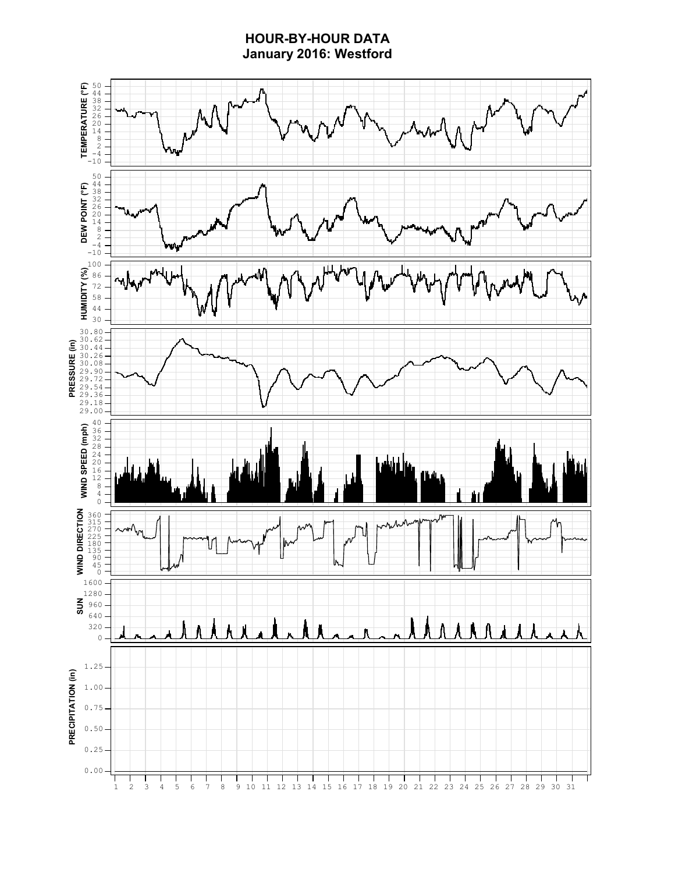# **HOUR-BY-HOUR DATA January 2016: Westford**